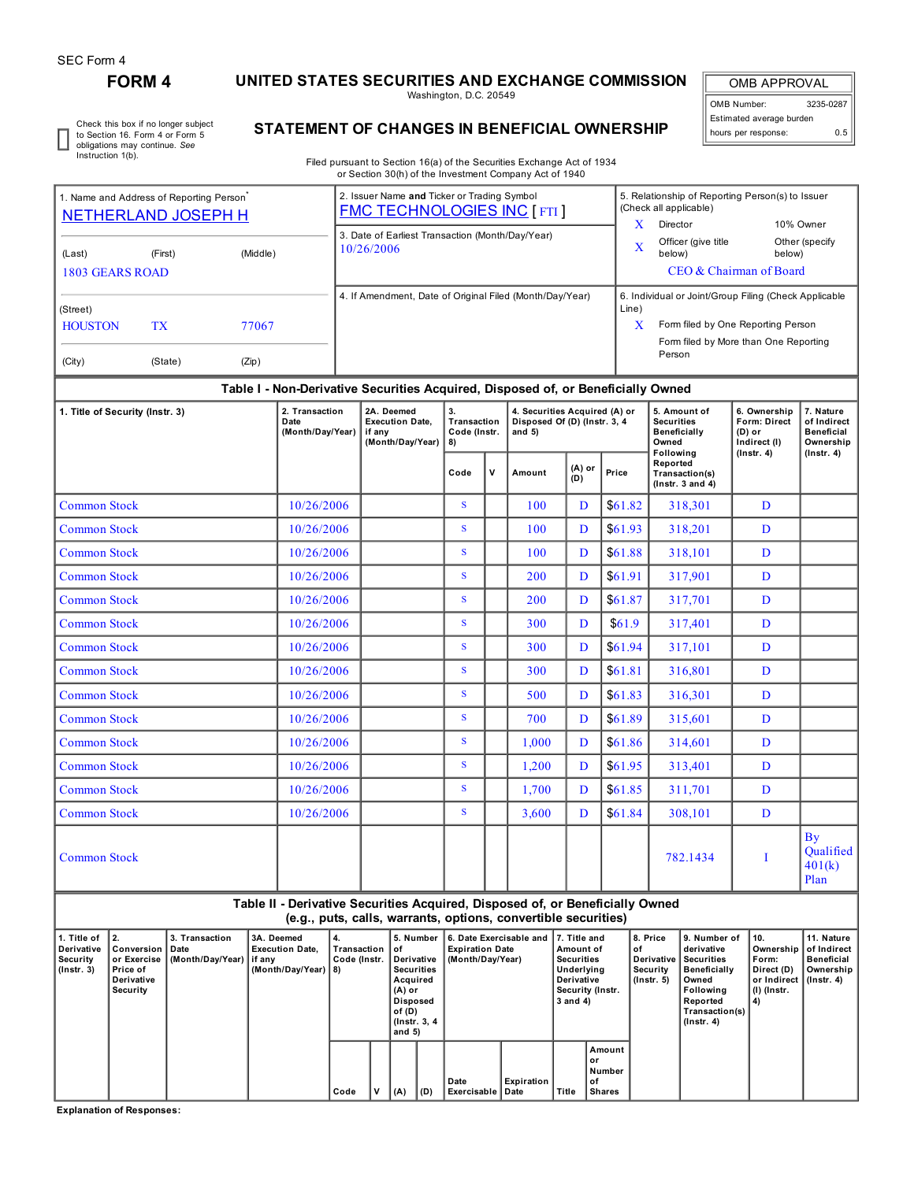I

## **FORM 4 UNITED STATES SECURITIES AND EXCHANGE COMMISSION**

Washington, D.C. 20549

OMB APPROVAL OMB Number: 3235-0287 Estimated average burden hours per response: 0.5

Check this box if no longer subject to Section 16. Form 4 or Form 5 obligations may continue. *See* Instruction 1(b).

### **STATEMENT OF CHANGES IN BENEFICIAL OWNERSHIP**

Filed pursuant to Section 16(a) of the Securities Exchange Act of 1934 or Section 30(h) of the Investment Company Act of 1940

| 1. Name and Address of Reporting Person<br><b>NETHERLAND JOSEPH H</b>   |         |          | 2. Issuer Name and Ticker or Trading Symbol<br><b>FMC TECHNOLOGIES INC [FTI]</b> | 5. Relationship of Reporting Person(s) to Issuer<br>(Check all applicable)<br>X<br>Director<br>10% Owner                                                     |                                                          |                          |  |  |  |
|-------------------------------------------------------------------------|---------|----------|----------------------------------------------------------------------------------|--------------------------------------------------------------------------------------------------------------------------------------------------------------|----------------------------------------------------------|--------------------------|--|--|--|
| (Last)<br>1803 GEARS ROAD                                               | (First) | (Middle) | 3. Date of Earliest Transaction (Month/Day/Year)<br>10/26/2006                   | $\mathbf x$                                                                                                                                                  | Officer (give title<br>below)<br>CEO & Chairman of Board | Other (specify<br>below) |  |  |  |
| (Street)<br><b>HOUSTON</b><br>TX<br>77067<br>(City)<br>(State)<br>(Zip) |         |          | 4. If Amendment, Date of Original Filed (Month/Day/Year)                         | 6. Individual or Joint/Group Filing (Check Applicable<br>Line)<br>X<br>Form filed by One Reporting Person<br>Form filed by More than One Reporting<br>Person |                                                          |                          |  |  |  |

#### **Table I - Non-Derivative Securities Acquired, Disposed of, or Beneficially Owned**

| 1. Title of Security (Instr. 3) | 2. Transaction<br>Date<br>(Month/Day/Year) | 2A. Deemed<br><b>Execution Date.</b><br>if any<br>(Month/Day/Year) | 3.<br>Transaction<br>Code (Instr.<br>8) |   | 4. Securities Acquired (A) or<br>Disposed Of (D) (Instr. 3, 4<br>and $5)$ |                 |         | 5. Amount of<br><b>Securities</b><br>Beneficially<br>Owned      | 6. Ownership<br>Form: Direct<br>(D) or<br>Indirect (I) | 7. Nature<br>of Indirect<br><b>Beneficial</b><br>Ownership |
|---------------------------------|--------------------------------------------|--------------------------------------------------------------------|-----------------------------------------|---|---------------------------------------------------------------------------|-----------------|---------|-----------------------------------------------------------------|--------------------------------------------------------|------------------------------------------------------------|
|                                 |                                            |                                                                    | Code                                    | V | Amount                                                                    | $(A)$ or<br>(D) | Price   | Following<br>Reported<br>Transaction(s)<br>( $lnstr. 3 and 4$ ) | $($ lnstr. 4 $)$                                       | $($ lnstr. 4 $)$                                           |
| <b>Common Stock</b>             | 10/26/2006                                 |                                                                    | S                                       |   | 100                                                                       | $\mathbf{D}$    | \$61.82 | 318,301                                                         | D                                                      |                                                            |
| <b>Common Stock</b>             | 10/26/2006                                 |                                                                    | S                                       |   | 100                                                                       | D               | \$61.93 | 318,201                                                         | D                                                      |                                                            |
| <b>Common Stock</b>             | 10/26/2006                                 |                                                                    | S                                       |   | 100                                                                       | $\mathbf{D}$    | \$61.88 | 318,101                                                         | D                                                      |                                                            |
| <b>Common Stock</b>             | 10/26/2006                                 |                                                                    | S                                       |   | 200                                                                       | $\mathbf{D}$    | \$61.91 | 317,901                                                         | D                                                      |                                                            |
| <b>Common Stock</b>             | 10/26/2006                                 |                                                                    | S.                                      |   | 200                                                                       | $\mathbf{D}$    | \$61.87 | 317,701                                                         | D                                                      |                                                            |
| <b>Common Stock</b>             | 10/26/2006                                 |                                                                    | S                                       |   | 300                                                                       | D               | \$61.9  | 317,401                                                         | D                                                      |                                                            |
| <b>Common Stock</b>             | 10/26/2006                                 |                                                                    | S                                       |   | 300                                                                       | $\mathbf{D}$    | \$61.94 | 317,101                                                         | D                                                      |                                                            |
| <b>Common Stock</b>             | 10/26/2006                                 |                                                                    | S                                       |   | 300                                                                       | $\mathbf{D}$    | \$61.81 | 316,801                                                         | D                                                      |                                                            |
| <b>Common Stock</b>             | 10/26/2006                                 |                                                                    | S.                                      |   | 500                                                                       | D               | \$61.83 | 316,301                                                         | D                                                      |                                                            |
| <b>Common Stock</b>             | 10/26/2006                                 |                                                                    | S                                       |   | 700                                                                       | D               | \$61.89 | 315,601                                                         | D                                                      |                                                            |
| <b>Common Stock</b>             | 10/26/2006                                 |                                                                    | S.                                      |   | 1.000                                                                     | $\mathbf{D}$    | \$61.86 | 314,601                                                         | D                                                      |                                                            |
| <b>Common Stock</b>             | 10/26/2006                                 |                                                                    | S.                                      |   | 1,200                                                                     | D               | \$61.95 | 313,401                                                         | D                                                      |                                                            |
| <b>Common Stock</b>             | 10/26/2006                                 |                                                                    | S.                                      |   | 1,700                                                                     | D               | \$61.85 | 311,701                                                         | D                                                      |                                                            |
| <b>Common Stock</b>             | 10/26/2006                                 |                                                                    | S.                                      |   | 3,600                                                                     | D               | \$61.84 | 308,101                                                         | D                                                      |                                                            |
| <b>Common Stock</b>             |                                            |                                                                    |                                         |   |                                                                           |                 |         | 782.1434                                                        | Ι                                                      | $\mathbf{B}\mathbf{v}$<br>Qualified<br>401(k)<br>Plan      |

#### **Table II - Derivative Securities Acquired, Disposed of, or Beneficially Owned (e.g., puts, calls, warrants, options, convertible securities)**

| 1. Title of<br>∣ Derivative<br>Security<br>  (Instr. 3) | $\mathbf{12}$<br>Conversion   Date<br>or Exercise<br>Price of<br>Derivative<br>Security | 3. Transaction<br>(Month/Day/Year) | 3A. Deemed<br><b>Execution Date.</b><br>if anv<br>(Month/Day/Year) $ 8$ ) | 4.<br>Transaction<br>Code (Instr. |   | ∣of<br>Acquired<br>$(A)$ or<br><b>Disposed</b><br>of(D)<br>and 5) | 5. Number<br>6. Date Exercisable and 17. Title and<br><b>Expiration Date</b><br>(Month/Day/Year)<br>Derivative<br><b>Securities</b><br>(Instr. 3, 4) |                            |            | Amount of<br>Securities<br>Underlying<br>Derivative<br>3 and 4) | Security (Instr.                              | 8. Price<br>οf<br>Derivative<br>Security<br>(Instr. 5) | 9. Number of<br>derivative<br><b>Securities</b><br><b>Beneficially</b><br>Owned<br>Following<br>Reported<br>Transaction(s)<br>$($ Instr. 4 $)$ | <sup>1</sup> 10.<br>Ownership<br>Form:<br>Direct (D)<br>or Indirect   (Instr. 4)<br>  (l) (Instr. | 11. Nature<br>of Indirect<br>Beneficial<br>Ownership |
|---------------------------------------------------------|-----------------------------------------------------------------------------------------|------------------------------------|---------------------------------------------------------------------------|-----------------------------------|---|-------------------------------------------------------------------|------------------------------------------------------------------------------------------------------------------------------------------------------|----------------------------|------------|-----------------------------------------------------------------|-----------------------------------------------|--------------------------------------------------------|------------------------------------------------------------------------------------------------------------------------------------------------|---------------------------------------------------------------------------------------------------|------------------------------------------------------|
|                                                         |                                                                                         |                                    |                                                                           | Code                              | v | (A)                                                               | $ $ (D)                                                                                                                                              | Date<br>Exercisable   Date | Expiration | Title                                                           | Amount<br>or<br>Number<br>of<br><b>Shares</b> |                                                        |                                                                                                                                                |                                                                                                   |                                                      |

**Explanation of Responses:**